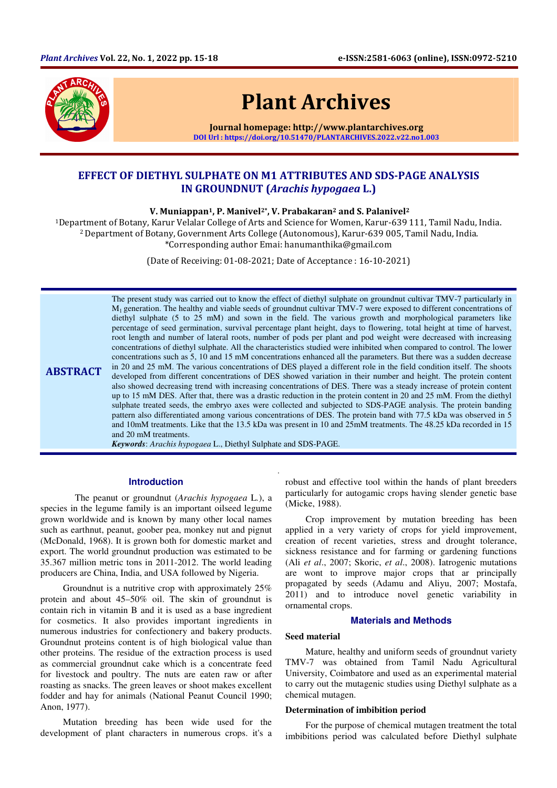

# Plant Archives

Journal homepage: http://www.plantarchives.org DOI Url : https://doi.org/10.51470/PLANTARCHIVES.2022.v22.no1.003

# EFFECT OF DIETHYL SULPHATE ON M1 ATTRIBUTES AND SDS-PAGE ANALYSIS IN GROUNDNUT (Arachis hypogaea L.)

V. Muniappan<sup>1</sup>, P. Manivel<sup>2\*</sup>, V. Prabakaran<sup>2</sup> and S. Palanivel<sup>2</sup>

<sup>1</sup>Department of Botany, Karur Velalar College of Arts and Science for Women, Karur-639 111, Tamil Nadu, India. <sup>2</sup>Department of Botany, Government Arts College (Autonomous), Karur-639 005, Tamil Nadu, India. \*Corresponding author Emai: hanumanthika@gmail.com

(Date of Receiving: 01-08-2021; Date of Acceptance : 16-10-2021)

.

ABSTRACT The present study was carried out to know the effect of diethyl sulphate on groundnut cultivar TMV-7 particularly in M1 generation. The healthy and viable seeds of groundnut cultivar TMV-7 were exposed to different concentrations of diethyl sulphate (5 to 25 mM) and sown in the field. The various growth and morphological parameters like percentage of seed germination, survival percentage plant height, days to flowering, total height at time of harvest, root length and number of lateral roots, number of pods per plant and pod weight were decreased with increasing concentrations of diethyl sulphate. All the characteristics studied were inhibited when compared to control. The lower concentrations such as 5, 10 and 15 mM concentrations enhanced all the parameters. But there was a sudden decrease in 20 and 25 mM. The various concentrations of DES played a different role in the field condition itself. The shoots developed from different concentrations of DES showed variation in their number and height. The protein content also showed decreasing trend with increasing concentrations of DES. There was a steady increase of protein content up to 15 mM DES. After that, there was a drastic reduction in the protein content in 20 and 25 mM. From the diethyl sulphate treated seeds, the embryo axes were collected and subjected to SDS-PAGE analysis. The protein banding pattern also differentiated among various concentrations of DES. The protein band with 77.5 kDa was observed in 5 and 10mM treatments. Like that the 13.5 kDa was present in 10 and 25mM treatments. The 48.25 kDa recorded in 15 and 20 mM treatments.

*Keywords*: *Arachis hypogaea* L., Diethyl Sulphate and SDS-PAGE.

#### **Introduction**

 The peanut or groundnut (*Arachis hypogaea* L*.*), a species in the legume family is an important oilseed legume grown worldwide and is known by many other local names such as earthnut, peanut, goober pea, monkey nut and pignut (McDonald, 1968). It is grown both for domestic market and export. The world groundnut production was estimated to be 35.367 million metric tons in 2011-2012. The world leading producers are China, India, and USA followed by Nigeria.

 Groundnut is a nutritive crop with approximately 25% protein and about 45–50% oil. The skin of groundnut is contain rich in vitamin B and it is used as a base ingredient for cosmetics. It also provides important ingredients in numerous industries for confectionery and bakery products. Groundnut proteins content is of high biological value than other proteins. The residue of the extraction process is used as commercial groundnut cake which is a concentrate feed for livestock and poultry. The nuts are eaten raw or after roasting as snacks. The green leaves or shoot makes excellent fodder and hay for animals (National Peanut Council 1990; Anon, 1977).

 Mutation breeding has been wide used for the development of plant characters in numerous crops. it's a

robust and effective tool within the hands of plant breeders particularly for autogamic crops having slender genetic base (Micke, 1988).

Crop improvement by mutation breeding has been applied in a very variety of crops for yield improvement, creation of recent varieties, stress and drought tolerance, sickness resistance and for farming or gardening functions (Ali *et al*., 2007; Skoric, *et al*., 2008). Iatrogenic mutations are wont to improve major crops that ar principally propagated by seeds (Adamu and Aliyu, 2007; Mostafa, 2011) and to introduce novel genetic variability in ornamental crops.

# **Materials and Methods**

#### **Seed material**

Mature, healthy and uniform seeds of groundnut variety TMV-7 was obtained from Tamil Nadu Agricultural University, Coimbatore and used as an experimental material to carry out the mutagenic studies using Diethyl sulphate as a chemical mutagen.

## **Determination of imbibition period**

For the purpose of chemical mutagen treatment the total imbibitions period was calculated before Diethyl sulphate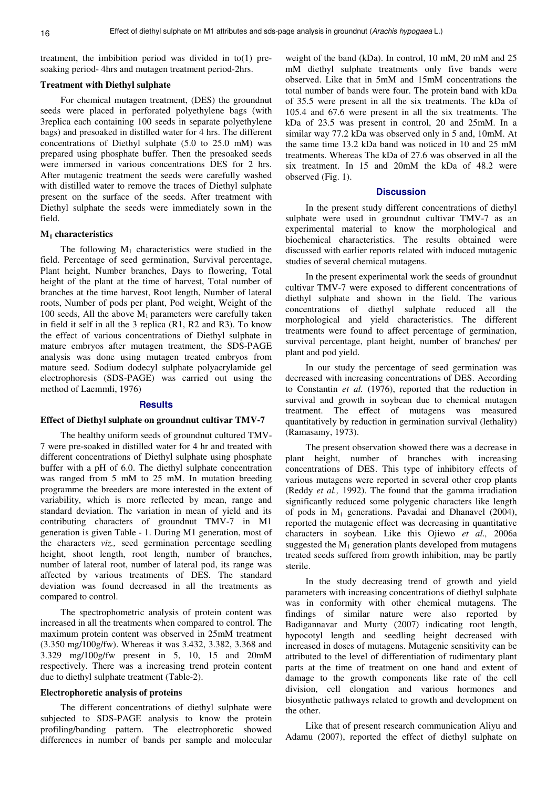treatment, the imbibition period was divided in to(1) presoaking period- 4hrs and mutagen treatment period-2hrs.

# **Treatment with Diethyl sulphate**

For chemical mutagen treatment, (DES) the groundnut seeds were placed in perforated polyethylene bags (with 3replica each containing 100 seeds in separate polyethylene bags) and presoaked in distilled water for 4 hrs. The different concentrations of Diethyl sulphate (5.0 to 25.0 mM) was prepared using phosphate buffer. Then the presoaked seeds were immersed in various concentrations DES for 2 hrs. After mutagenic treatment the seeds were carefully washed with distilled water to remove the traces of Diethyl sulphate present on the surface of the seeds. After treatment with Diethyl sulphate the seeds were immediately sown in the field.

#### **M1 characteristics**

The following  $M_1$  characteristics were studied in the field. Percentage of seed germination, Survival percentage, Plant height, Number branches, Days to flowering, Total height of the plant at the time of harvest, Total number of branches at the time harvest, Root length, Number of lateral roots, Number of pods per plant, Pod weight, Weight of the 100 seeds, All the above  $M_1$  parameters were carefully taken in field it self in all the 3 replica (R1, R2 and R3). To know the effect of various concentrations of Diethyl sulphate in mature embryos after mutagen treatment, the SDS-PAGE analysis was done using mutagen treated embryos from mature seed. Sodium dodecyl sulphate polyacrylamide gel electrophoresis (SDS-PAGE) was carried out using the method of Laemmli, 1976)

#### **Results**

#### **Effect of Diethyl sulphate on groundnut cultivar TMV-7**

The healthy uniform seeds of groundnut cultured TMV-7 were pre-soaked in distilled water for 4 hr and treated with different concentrations of Diethyl sulphate using phosphate buffer with a pH of 6.0. The diethyl sulphate concentration was ranged from 5 mM to 25 mM. In mutation breeding programme the breeders are more interested in the extent of variability, which is more reflected by mean, range and standard deviation. The variation in mean of yield and its contributing characters of groundnut TMV-7 in M1 generation is given Table - 1. During M1 generation, most of the characters *viz.,* seed germination percentage seedling height, shoot length, root length, number of branches, number of lateral root, number of lateral pod, its range was affected by various treatments of DES. The standard deviation was found decreased in all the treatments as compared to control.

The spectrophometric analysis of protein content was increased in all the treatments when compared to control. The maximum protein content was observed in 25mM treatment (3.350 mg/100g/fw). Whereas it was 3.432, 3.382, 3.368 and 3.329 mg/100g/fw present in 5, 10, 15 and 20mM respectively. There was a increasing trend protein content due to diethyl sulphate treatment (Table-2).

#### **Electrophoretic analysis of proteins**

The different concentrations of diethyl sulphate were subjected to SDS-PAGE analysis to know the protein profiling/banding pattern. The electrophoretic showed differences in number of bands per sample and molecular

weight of the band (kDa). In control, 10 mM, 20 mM and 25 mM diethyl sulphate treatments only five bands were observed. Like that in 5mM and 15mM concentrations the total number of bands were four. The protein band with kDa of 35.5 were present in all the six treatments. The kDa of 105.4 and 67.6 were present in all the six treatments. The kDa of 23.5 was present in control, 20 and 25mM. In a similar way 77.2 kDa was observed only in 5 and, 10mM. At the same time 13.2 kDa band was noticed in 10 and 25 mM treatments. Whereas The kDa of 27.6 was observed in all the six treatment. In 15 and 20mM the kDa of 48.2 were observed (Fig. 1).

# **Discussion**

In the present study different concentrations of diethyl sulphate were used in groundnut cultivar TMV-7 as an experimental material to know the morphological and biochemical characteristics. The results obtained were discussed with earlier reports related with induced mutagenic studies of several chemical mutagens.

In the present experimental work the seeds of groundnut cultivar TMV-7 were exposed to different concentrations of diethyl sulphate and shown in the field. The various concentrations of diethyl sulphate reduced all the morphological and yield characteristics. The different treatments were found to affect percentage of germination, survival percentage, plant height, number of branches/ per plant and pod yield.

In our study the percentage of seed germination was decreased with increasing concentrations of DES. According to Constantin *et al.* (1976), reported that the reduction in survival and growth in soybean due to chemical mutagen treatment. The effect of mutagens was measured quantitatively by reduction in germination survival (lethality) (Ramasamy, 1973).

The present observation showed there was a decrease in plant height, number of branches with increasing concentrations of DES. This type of inhibitory effects of various mutagens were reported in several other crop plants (Reddy *et al.,* 1992). The found that the gamma irradiation significantly reduced some polygenic characters like length of pods in  $M_1$  generations. Pavadai and Dhanavel (2004), reported the mutagenic effect was decreasing in quantitative characters in soybean. Like this Ojiewo *et al.,* 2006a suggested the  $M_1$  generation plants developed from mutagens treated seeds suffered from growth inhibition, may be partly sterile.

In the study decreasing trend of growth and yield parameters with increasing concentrations of diethyl sulphate was in conformity with other chemical mutagens. The findings of similar nature were also reported by Badigannavar and Murty (2007) indicating root length, hypocotyl length and seedling height decreased with increased in doses of mutagens. Mutagenic sensitivity can be attributed to the level of differentiation of rudimentary plant parts at the time of treatment on one hand and extent of damage to the growth components like rate of the cell division, cell elongation and various hormones and biosynthetic pathways related to growth and development on the other.

Like that of present research communication Aliyu and Adamu (2007), reported the effect of diethyl sulphate on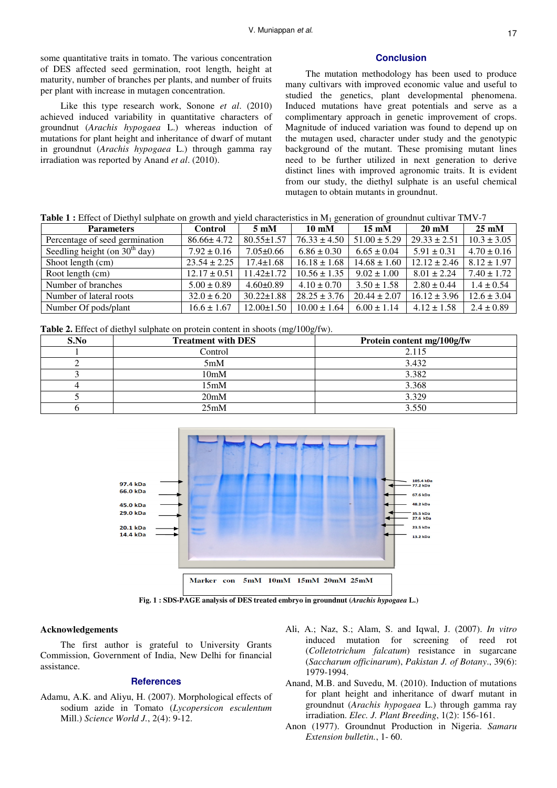some quantitative traits in tomato. The various concentration of DES affected seed germination, root length, height at maturity, number of branches per plants, and number of fruits per plant with increase in mutagen concentration.

Like this type research work, Sonone *et al*. (2010) achieved induced variability in quantitative characters of groundnut (*Arachis hypogaea* L.) whereas induction of mutations for plant height and inheritance of dwarf of mutant in groundnut (*Arachis hypogaea* L.) through gamma ray irradiation was reported by Anand *et al*. (2010).

#### **Conclusion**

The mutation methodology has been used to produce many cultivars with improved economic value and useful to studied the genetics, plant developmental phenomena. Induced mutations have great potentials and serve as a complimentary approach in genetic improvement of crops. Magnitude of induced variation was found to depend up on the mutagen used, character under study and the genotypic background of the mutant. These promising mutant lines need to be further utilized in next generation to derive distinct lines with improved agronomic traits. It is evident from our study, the diethyl sulphate is an useful chemical mutagen to obtain mutants in groundnut.

| <b>Table 1</b> : Effect of Diethyl sulphate on growth and yield characteristics in $M_1$ generation of groundnut cultivar TMV-7 |  |  |
|---------------------------------------------------------------------------------------------------------------------------------|--|--|
|---------------------------------------------------------------------------------------------------------------------------------|--|--|

| <b>Parameters</b>               | <b>Control</b>   | $5 \text{ }\mathrm{mM}$ | $10 \text{ }\mathrm{mM}$ | $15 \text{ mM}$  | $20 \text{ mM}$  | $25 \text{ mM}$ |
|---------------------------------|------------------|-------------------------|--------------------------|------------------|------------------|-----------------|
| Percentage of seed germination  | $86.66 \pm 4.72$ | $80.55 \pm 1.57$        | $76.33 \pm 4.50$         | $51.00 \pm 5.29$ | $29.33 \pm 2.51$ | $10.3 \pm 3.05$ |
| Seedling height (on $30th$ day) | $7.92 \pm 0.16$  | $7.05 \pm 0.66$         | $6.86 \pm 0.30$          | $6.65 \pm 0.04$  | $5.91 \pm 0.31$  | $4.70 \pm 0.16$ |
| Shoot length (cm)               | $23.54 \pm 2.25$ | $17.4 \pm 1.68$         | $16.18 \pm 1.68$         | $14.68 \pm 1.60$ | $12.12 \pm 2.46$ | $8.12 \pm 1.97$ |
| Root length (cm)                | $12.17 \pm 0.51$ | $11.42 \pm 1.72$        | $10.56 \pm 1.35$         | $9.02 \pm 1.00$  | $8.01 \pm 2.24$  | $7.40 \pm 1.72$ |
| Number of branches              | $5.00 \pm 0.89$  | $4.60 \pm 0.89$         | $4.10 \pm 0.70$          | $3.50 \pm 1.58$  | $2.80 \pm 0.44$  | $1.4 \pm 0.54$  |
| Number of lateral roots         | $32.0 \pm 6.20$  | $30.22 \pm 1.88$        | $28.25 \pm 3.76$         | $20.44 \pm 2.07$ | $16.12 \pm 3.96$ | $12.6 \pm 3.04$ |
| Number Of pods/plant            | $16.6 \pm 1.67$  | $12.00 \pm 1.50$        | $10.00 \pm 1.64$         | $6.00 \pm 1.14$  | $4.12 \pm 1.58$  | $2.4 \pm 0.89$  |

**Table 2.** Effect of diethyl sulphate on protein content in shoots (mg/100g/fw).

| S.No | <b>Treatment with DES</b> | Protein content mg/100g/fw |
|------|---------------------------|----------------------------|
|      | Control                   | 2.115                      |
|      | 5mM                       | 3.432                      |
|      | 10mM                      | 3.382                      |
|      | 15mM                      | 3.368                      |
|      | 20 <sub>m</sub> M         | 3.329                      |
|      | 25mM                      | 3.550                      |



**Fig. 1 : SDS-PAGE analysis of DES treated embryo in groundnut (***Arachis hypogaea* **L.)** 

## **Acknowledgements**

The first author is grateful to University Grants Commission, Government of India, New Delhi for financial assistance.

# **References**

- Adamu, A.K. and Aliyu, H. (2007). Morphological effects of sodium azide in Tomato (*Lycopersicon esculentum* Mill.) *Science World J.*, 2(4): 9-12.
- Ali, A.; Naz, S.; Alam, S. and Iqwal, J. (2007). *In vitro* induced mutation for screening of reed rot (*Colletotrichum falcatum*) resistance in sugarcane (*Saccharum officinarum*), *Pakistan J. of Botany*., 39(6): 1979-1994.
- Anand, M.B. and Suvedu, M. (2010). Induction of mutations for plant height and inheritance of dwarf mutant in groundnut (*Arachis hypogaea* L.) through gamma ray irradiation. *Elec. J. Plant Breeding*, 1(2): 156-161.
- Anon (1977). Groundnut Production in Nigeria. *Samaru Extension bulletin.*, 1- 60.